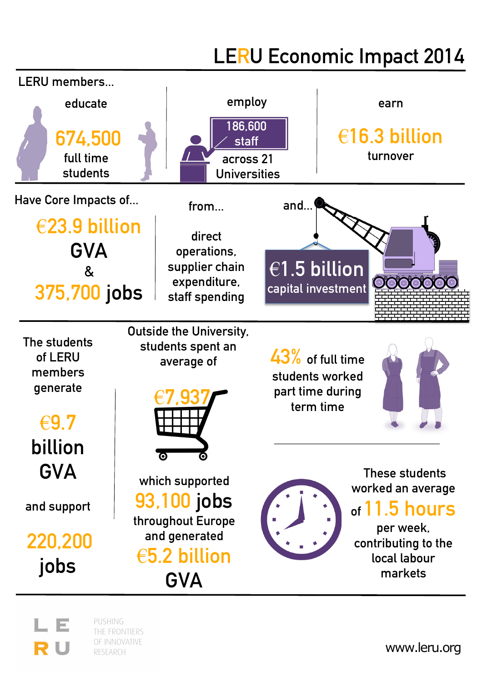## **LERU Economic Impact 2014**



THE FRONTIERS OF INNOVATIVE

RESEARCH

R U

www.leru.org